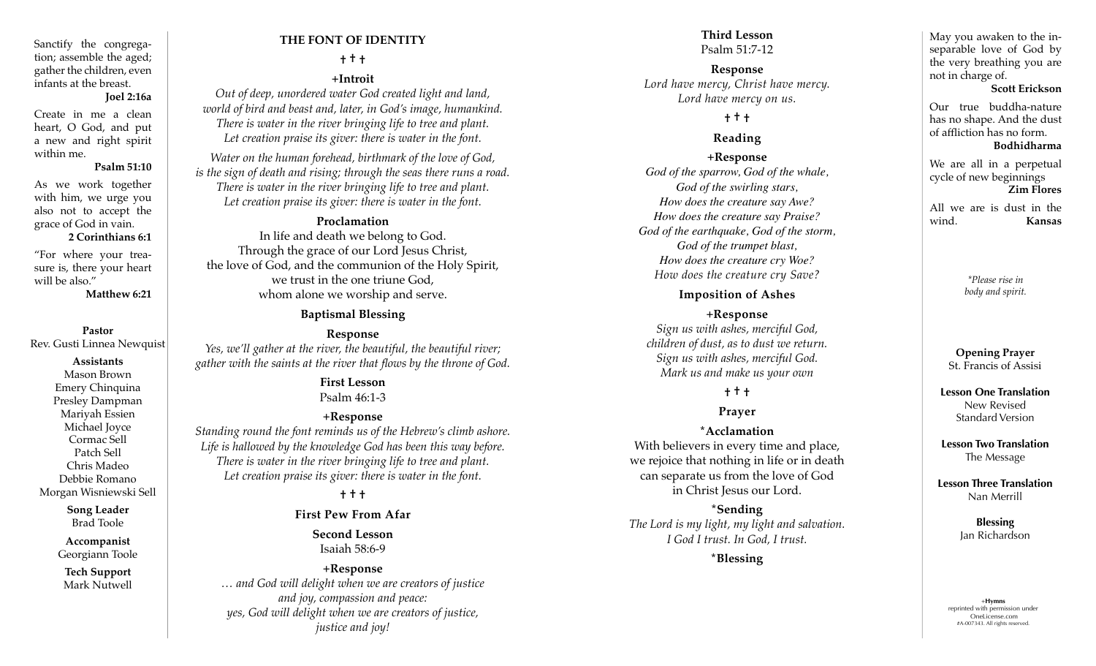Sanctify the congrega tion; assemble the aged; gather the children, even infants at the breast.

## **Joel 2:16a**

Create in me a clean heart, O God, and put a new and right spirit within me.

#### **Psalm 51:10**

As we work together with him, we urge you also not to accept the grace of God in vain.

#### **2 Corinthians 6:1**

"For where your trea sure is, there your heart will be also."

**Matthew 6:21**

#### **Pastor**

Rev. Gusti Linnea Newquist

#### **Assistants**

Mason Brown Emery Chinquina Presley Dampman Mariyah Essien Michael Joyce Cormac Sell Patch Sell Chris Madeo Debbie Romano Morgan Wisniewski Sell

> **Song Leader** Brad Toole

**Accompanist** Georgiann Toole

**Tech Support** Mark Nutwell

# **THE FONT OF IDENTITY**

# **† † †**

**+Introit** 

*Out of deep, unordered water God created light and land, world of bird and beast and, later, in God's image, humankind. There is water in the river bringing life to tree and plant. Let creation praise its giver: there is water in the font.* 

*Water on the human forehead, birthmark of the love of God, is the sign of death and rising; through the seas there runs a road. There is water in the river bringing life to tree and plant. Let creation praise its giver: there is water in the font.* 

## **Proclamation**

In life and death we belong to God. Through the grace of our Lord Jesus Christ, the love of God, and the communion of the Holy Spirit, we trust in the one triune God, whom alone we worship and serve.

## **Baptismal Blessing**

## **Response**

*Yes, we'll gather at the river, the beautiful, the beautiful river; gather with the saints at the river that flows by the throne of God.* 

#### **First Lesson** Psalm 46:1-3

## **+Response**

*Standing round the font reminds us of the Hebrew's climb ashore. Life is hallowed by the knowledge God has been this way before. There is water in the river bringing life to tree and plant. Let creation praise its giver: there is water in the font.*

## **† † †**

## **First Pew From Afar**

**Second Lesson** Isaiah 58:6-9

## **+Response**

*… and God will delight when we are creators of justice and joy, compassion and peace: yes, God will delight when we are creators of justice, justice and joy!*

# **Third Lesson**

Psalm 51:7-12

**Response** *Lord have mercy, Christ have mercy. Lord have mercy on us.* 

## **† † †**

## **Reading**

## **+Response**

*God of the sparrow, God of the whale, God of the swirling stars, How does the creature say Awe? How does the creature say Praise? God of the earthquake, God of the storm, God of the trumpet blast, How does the creature cry Woe? How does the creature cry Save?*

## **Imposition of Ashes**

## **+Response** *Sign us with ashes, merciful God, children of dust, as to dust we return. Sign us with ashes, merciful God. Mark us and make us your own*

## **† † †**

## **Prayer**

#### **\*Acclamation**

With believers in every time and place, we rejoice that nothing in life or in death can separate us from the love of God in Christ Jesus our Lord.

**\*Sending**  *The Lord is my light, my light and salvation. I God I trust. In God, I trust.*

**\*Blessing**

May you awaken to the in separable love of God by the very breathing you are not in charge of.

#### **Scott Erickson**

Our true buddha-nature has no shape. And the dust of affliction has no form. **Bodhidharma**

We are all in a perpetual cycle of new beginnings **Zim Flores**

All we are is dust in the wind. **Kansas**

> *\*Please rise in body and spirit.*

#### **Opening Prayer**  St. Francis of Assisi

**Lesson One Translation** New Revised Standard Version

**Lesson Two Translation** The Message

**Lesson Three Translation**  Nan Merrill

> **Blessing** Jan Richardson

+**Hymns** reprinted with permission under OneLicense.com #A-007343. All rights reserved.